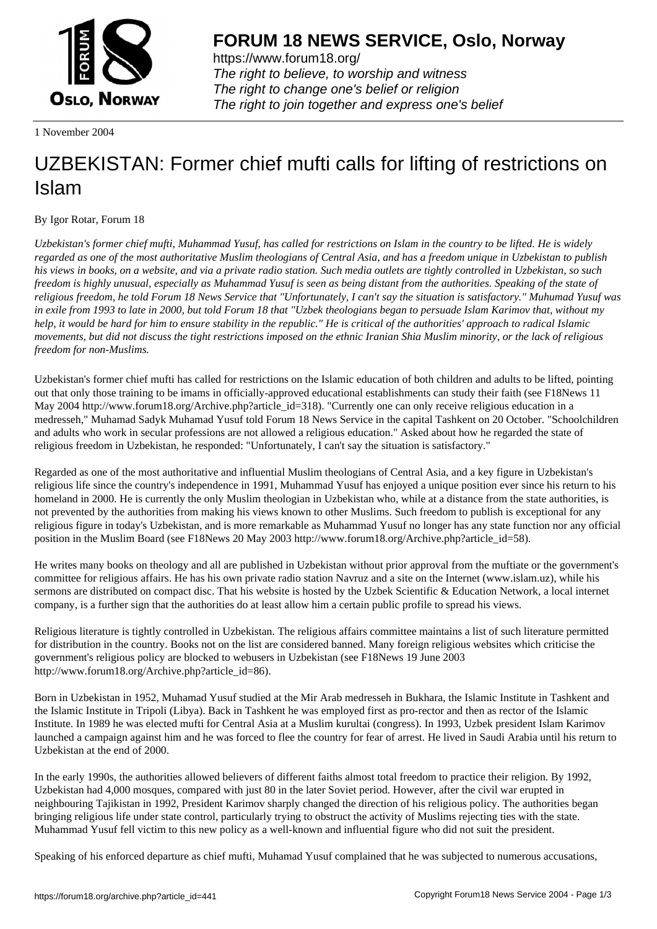

https://www.forum18.org/ The right to believe, to worship and witness The right to change one's belief or religion [The right to join together a](https://www.forum18.org/)nd express one's belief

1 November 2004

## [UZBEKISTAN:](https://www.forum18.org) Former chief mufti calls for lifting of restrictions on Islam

By Igor Rotar, Forum 18

*Uzbekistan's former chief mufti, Muhammad Yusuf, has called for restrictions on Islam in the country to be lifted. He is widely regarded as one of the most authoritative Muslim theologians of Central Asia, and has a freedom unique in Uzbekistan to publish his views in books, on a website, and via a private radio station. Such media outlets are tightly controlled in Uzbekistan, so such freedom is highly unusual, especially as Muhammad Yusuf is seen as being distant from the authorities. Speaking of the state of religious freedom, he told Forum 18 News Service that "Unfortunately, I can't say the situation is satisfactory." Muhumad Yusuf was in exile from 1993 to late in 2000, but told Forum 18 that "Uzbek theologians began to persuade Islam Karimov that, without my help, it would be hard for him to ensure stability in the republic." He is critical of the authorities' approach to radical Islamic movements, but did not discuss the tight restrictions imposed on the ethnic Iranian Shia Muslim minority, or the lack of religious freedom for non-Muslims.*

Uzbekistan's former chief mufti has called for restrictions on the Islamic education of both children and adults to be lifted, pointing out that only those training to be imams in officially-approved educational establishments can study their faith (see F18News 11 May 2004 http://www.forum18.org/Archive.php?article\_id=318). "Currently one can only receive religious education in a medresseh," Muhamad Sadyk Muhamad Yusuf told Forum 18 News Service in the capital Tashkent on 20 October. "Schoolchildren and adults who work in secular professions are not allowed a religious education." Asked about how he regarded the state of religious freedom in Uzbekistan, he responded: "Unfortunately, I can't say the situation is satisfactory."

Regarded as one of the most authoritative and influential Muslim theologians of Central Asia, and a key figure in Uzbekistan's religious life since the country's independence in 1991, Muhammad Yusuf has enjoyed a unique position ever since his return to his homeland in 2000. He is currently the only Muslim theologian in Uzbekistan who, while at a distance from the state authorities, is not prevented by the authorities from making his views known to other Muslims. Such freedom to publish is exceptional for any religious figure in today's Uzbekistan, and is more remarkable as Muhammad Yusuf no longer has any state function nor any official position in the Muslim Board (see F18News 20 May 2003 http://www.forum18.org/Archive.php?article\_id=58).

He writes many books on theology and all are published in Uzbekistan without prior approval from the muftiate or the government's committee for religious affairs. He has his own private radio station Navruz and a site on the Internet (www.islam.uz), while his sermons are distributed on compact disc. That his website is hosted by the Uzbek Scientific & Education Network, a local internet company, is a further sign that the authorities do at least allow him a certain public profile to spread his views.

Religious literature is tightly controlled in Uzbekistan. The religious affairs committee maintains a list of such literature permitted for distribution in the country. Books not on the list are considered banned. Many foreign religious websites which criticise the government's religious policy are blocked to webusers in Uzbekistan (see F18News 19 June 2003 http://www.forum18.org/Archive.php?article\_id=86).

Born in Uzbekistan in 1952, Muhamad Yusuf studied at the Mir Arab medresseh in Bukhara, the Islamic Institute in Tashkent and the Islamic Institute in Tripoli (Libya). Back in Tashkent he was employed first as pro-rector and then as rector of the Islamic Institute. In 1989 he was elected mufti for Central Asia at a Muslim kurultai (congress). In 1993, Uzbek president Islam Karimov launched a campaign against him and he was forced to flee the country for fear of arrest. He lived in Saudi Arabia until his return to Uzbekistan at the end of 2000.

In the early 1990s, the authorities allowed believers of different faiths almost total freedom to practice their religion. By 1992, Uzbekistan had 4,000 mosques, compared with just 80 in the later Soviet period. However, after the civil war erupted in neighbouring Tajikistan in 1992, President Karimov sharply changed the direction of his religious policy. The authorities began bringing religious life under state control, particularly trying to obstruct the activity of Muslims rejecting ties with the state. Muhammad Yusuf fell victim to this new policy as a well-known and influential figure who did not suit the president.

Speaking of his enforced departure as chief mufti, Muhamad Yusuf complained that he was subjected to numerous accusations,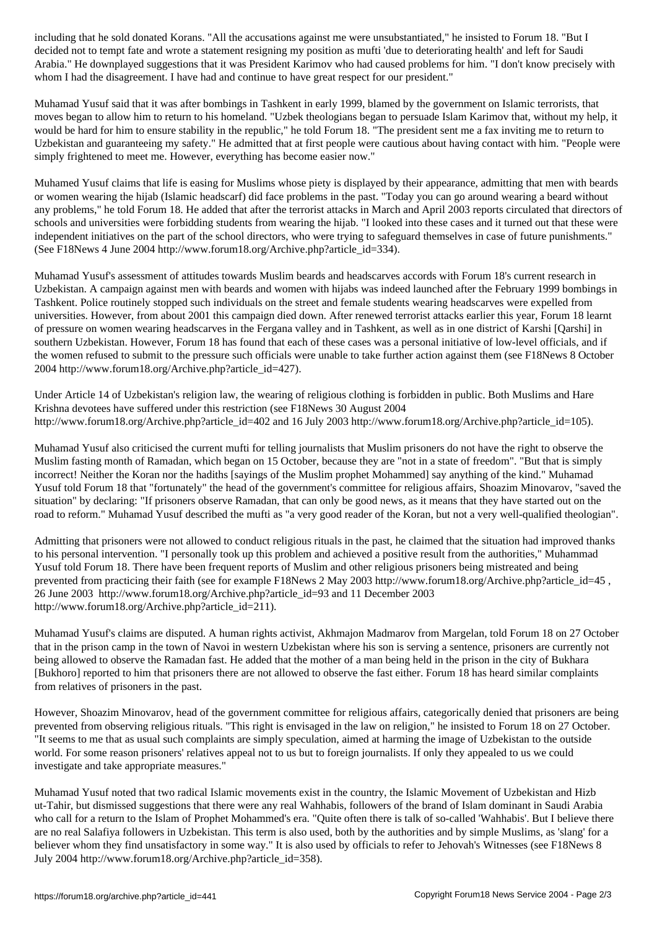decided not to tempt fate and wrote a statement resigning my position as mufti 'due to deteriorating health' and left for Saudi Arabia." He downplayed suggestions that it was President Karimov who had caused problems for him. "I don't know precisely with whom I had the disagreement. I have had and continue to have great respect for our president."

Muhamad Yusuf said that it was after bombings in Tashkent in early 1999, blamed by the government on Islamic terrorists, that moves began to allow him to return to his homeland. "Uzbek theologians began to persuade Islam Karimov that, without my help, it would be hard for him to ensure stability in the republic," he told Forum 18. "The president sent me a fax inviting me to return to Uzbekistan and guaranteeing my safety." He admitted that at first people were cautious about having contact with him. "People were simply frightened to meet me. However, everything has become easier now."

Muhamed Yusuf claims that life is easing for Muslims whose piety is displayed by their appearance, admitting that men with beards or women wearing the hijab (Islamic headscarf) did face problems in the past. "Today you can go around wearing a beard without any problems," he told Forum 18. He added that after the terrorist attacks in March and April 2003 reports circulated that directors of schools and universities were forbidding students from wearing the hijab. "I looked into these cases and it turned out that these were independent initiatives on the part of the school directors, who were trying to safeguard themselves in case of future punishments." (See F18News 4 June 2004 http://www.forum18.org/Archive.php?article\_id=334).

Muhamad Yusuf's assessment of attitudes towards Muslim beards and headscarves accords with Forum 18's current research in Uzbekistan. A campaign against men with beards and women with hijabs was indeed launched after the February 1999 bombings in Tashkent. Police routinely stopped such individuals on the street and female students wearing headscarves were expelled from universities. However, from about 2001 this campaign died down. After renewed terrorist attacks earlier this year, Forum 18 learnt of pressure on women wearing headscarves in the Fergana valley and in Tashkent, as well as in one district of Karshi [Qarshi] in southern Uzbekistan. However, Forum 18 has found that each of these cases was a personal initiative of low-level officials, and if the women refused to submit to the pressure such officials were unable to take further action against them (see F18News 8 October 2004 http://www.forum18.org/Archive.php?article\_id=427).

Under Article 14 of Uzbekistan's religion law, the wearing of religious clothing is forbidden in public. Both Muslims and Hare Krishna devotees have suffered under this restriction (see F18News 30 August 2004 http://www.forum18.org/Archive.php?article\_id=402 and 16 July 2003 http://www.forum18.org/Archive.php?article\_id=105).

Muhamad Yusuf also criticised the current mufti for telling journalists that Muslim prisoners do not have the right to observe the Muslim fasting month of Ramadan, which began on 15 October, because they are "not in a state of freedom". "But that is simply incorrect! Neither the Koran nor the hadiths [sayings of the Muslim prophet Mohammed] say anything of the kind." Muhamad Yusuf told Forum 18 that "fortunately" the head of the government's committee for religious affairs, Shoazim Minovarov, "saved the situation" by declaring: "If prisoners observe Ramadan, that can only be good news, as it means that they have started out on the road to reform." Muhamad Yusuf described the mufti as "a very good reader of the Koran, but not a very well-qualified theologian".

Admitting that prisoners were not allowed to conduct religious rituals in the past, he claimed that the situation had improved thanks to his personal intervention. "I personally took up this problem and achieved a positive result from the authorities," Muhammad Yusuf told Forum 18. There have been frequent reports of Muslim and other religious prisoners being mistreated and being prevented from practicing their faith (see for example F18News 2 May 2003 http://www.forum18.org/Archive.php?article\_id=45, 26 June 2003 http://www.forum18.org/Archive.php?article\_id=93 and 11 December 2003 http://www.forum18.org/Archive.php?article\_id=211).

Muhamad Yusuf's claims are disputed. A human rights activist, Akhmajon Madmarov from Margelan, told Forum 18 on 27 October that in the prison camp in the town of Navoi in western Uzbekistan where his son is serving a sentence, prisoners are currently not being allowed to observe the Ramadan fast. He added that the mother of a man being held in the prison in the city of Bukhara [Bukhoro] reported to him that prisoners there are not allowed to observe the fast either. Forum 18 has heard similar complaints from relatives of prisoners in the past.

However, Shoazim Minovarov, head of the government committee for religious affairs, categorically denied that prisoners are being prevented from observing religious rituals. "This right is envisaged in the law on religion," he insisted to Forum 18 on 27 October. "It seems to me that as usual such complaints are simply speculation, aimed at harming the image of Uzbekistan to the outside world. For some reason prisoners' relatives appeal not to us but to foreign journalists. If only they appealed to us we could investigate and take appropriate measures."

Muhamad Yusuf noted that two radical Islamic movements exist in the country, the Islamic Movement of Uzbekistan and Hizb ut-Tahir, but dismissed suggestions that there were any real Wahhabis, followers of the brand of Islam dominant in Saudi Arabia who call for a return to the Islam of Prophet Mohammed's era. "Quite often there is talk of so-called 'Wahhabis'. But I believe there are no real Salafiya followers in Uzbekistan. This term is also used, both by the authorities and by simple Muslims, as 'slang' for a believer whom they find unsatisfactory in some way." It is also used by officials to refer to Jehovah's Witnesses (see F18News 8 July 2004 http://www.forum18.org/Archive.php?article\_id=358).